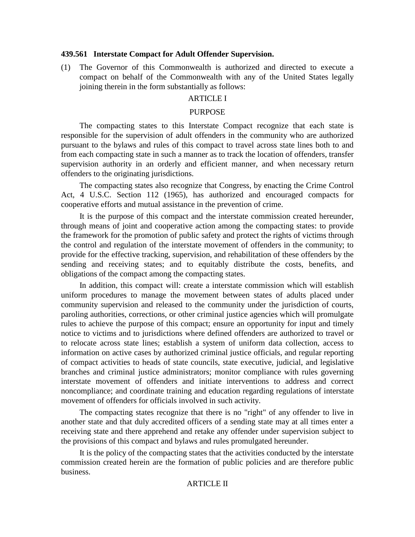# **439.561 Interstate Compact for Adult Offender Supervision.**

(1) The Governor of this Commonwealth is authorized and directed to execute a compact on behalf of the Commonwealth with any of the United States legally joining therein in the form substantially as follows:

# ARTICLE I

# PURPOSE

The compacting states to this Interstate Compact recognize that each state is responsible for the supervision of adult offenders in the community who are authorized pursuant to the bylaws and rules of this compact to travel across state lines both to and from each compacting state in such a manner as to track the location of offenders, transfer supervision authority in an orderly and efficient manner, and when necessary return offenders to the originating jurisdictions.

The compacting states also recognize that Congress, by enacting the Crime Control Act, 4 U.S.C. Section 112 (1965), has authorized and encouraged compacts for cooperative efforts and mutual assistance in the prevention of crime.

It is the purpose of this compact and the interstate commission created hereunder, through means of joint and cooperative action among the compacting states: to provide the framework for the promotion of public safety and protect the rights of victims through the control and regulation of the interstate movement of offenders in the community; to provide for the effective tracking, supervision, and rehabilitation of these offenders by the sending and receiving states; and to equitably distribute the costs, benefits, and obligations of the compact among the compacting states.

In addition, this compact will: create a interstate commission which will establish uniform procedures to manage the movement between states of adults placed under community supervision and released to the community under the jurisdiction of courts, paroling authorities, corrections, or other criminal justice agencies which will promulgate rules to achieve the purpose of this compact; ensure an opportunity for input and timely notice to victims and to jurisdictions where defined offenders are authorized to travel or to relocate across state lines; establish a system of uniform data collection, access to information on active cases by authorized criminal justice officials, and regular reporting of compact activities to heads of state councils, state executive, judicial, and legislative branches and criminal justice administrators; monitor compliance with rules governing interstate movement of offenders and initiate interventions to address and correct noncompliance; and coordinate training and education regarding regulations of interstate movement of offenders for officials involved in such activity.

The compacting states recognize that there is no "right" of any offender to live in another state and that duly accredited officers of a sending state may at all times enter a receiving state and there apprehend and retake any offender under supervision subject to the provisions of this compact and bylaws and rules promulgated hereunder.

It is the policy of the compacting states that the activities conducted by the interstate commission created herein are the formation of public policies and are therefore public business.

## ARTICLE II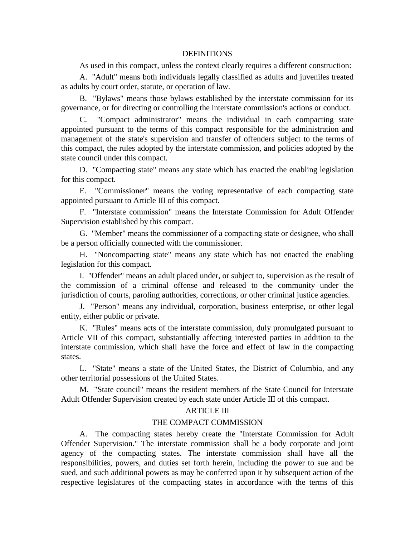### DEFINITIONS

As used in this compact, unless the context clearly requires a different construction:

A. "Adult" means both individuals legally classified as adults and juveniles treated as adults by court order, statute, or operation of law.

B. "Bylaws" means those bylaws established by the interstate commission for its governance, or for directing or controlling the interstate commission's actions or conduct.

C. "Compact administrator" means the individual in each compacting state appointed pursuant to the terms of this compact responsible for the administration and management of the state's supervision and transfer of offenders subject to the terms of this compact, the rules adopted by the interstate commission, and policies adopted by the state council under this compact.

D. "Compacting state" means any state which has enacted the enabling legislation for this compact.

E. "Commissioner" means the voting representative of each compacting state appointed pursuant to Article III of this compact.

F. "Interstate commission" means the Interstate Commission for Adult Offender Supervision established by this compact.

G. "Member" means the commissioner of a compacting state or designee, who shall be a person officially connected with the commissioner.

H. "Noncompacting state" means any state which has not enacted the enabling legislation for this compact.

I. "Offender" means an adult placed under, or subject to, supervision as the result of the commission of a criminal offense and released to the community under the jurisdiction of courts, paroling authorities, corrections, or other criminal justice agencies.

J. "Person" means any individual, corporation, business enterprise, or other legal entity, either public or private.

K. "Rules" means acts of the interstate commission, duly promulgated pursuant to Article VII of this compact, substantially affecting interested parties in addition to the interstate commission, which shall have the force and effect of law in the compacting states.

L. "State" means a state of the United States, the District of Columbia, and any other territorial possessions of the United States.

M. "State council" means the resident members of the State Council for Interstate Adult Offender Supervision created by each state under Article III of this compact.

### ARTICLE III

#### THE COMPACT COMMISSION

A. The compacting states hereby create the "Interstate Commission for Adult Offender Supervision." The interstate commission shall be a body corporate and joint agency of the compacting states. The interstate commission shall have all the responsibilities, powers, and duties set forth herein, including the power to sue and be sued, and such additional powers as may be conferred upon it by subsequent action of the respective legislatures of the compacting states in accordance with the terms of this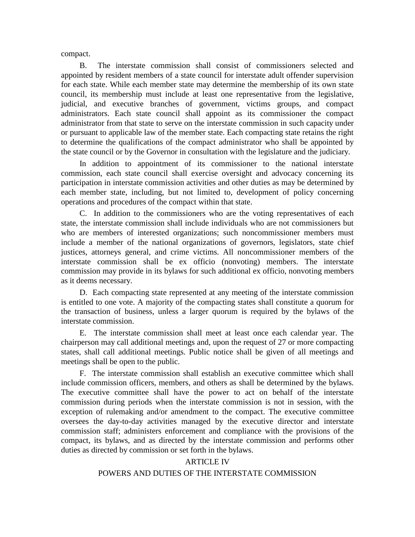compact.

B. The interstate commission shall consist of commissioners selected and appointed by resident members of a state council for interstate adult offender supervision for each state. While each member state may determine the membership of its own state council, its membership must include at least one representative from the legislative, judicial, and executive branches of government, victims groups, and compact administrators. Each state council shall appoint as its commissioner the compact administrator from that state to serve on the interstate commission in such capacity under or pursuant to applicable law of the member state. Each compacting state retains the right to determine the qualifications of the compact administrator who shall be appointed by the state council or by the Governor in consultation with the legislature and the judiciary.

In addition to appointment of its commissioner to the national interstate commission, each state council shall exercise oversight and advocacy concerning its participation in interstate commission activities and other duties as may be determined by each member state, including, but not limited to, development of policy concerning operations and procedures of the compact within that state.

C. In addition to the commissioners who are the voting representatives of each state, the interstate commission shall include individuals who are not commissioners but who are members of interested organizations; such noncommissioner members must include a member of the national organizations of governors, legislators, state chief justices, attorneys general, and crime victims. All noncommissioner members of the interstate commission shall be ex officio (nonvoting) members. The interstate commission may provide in its bylaws for such additional ex officio, nonvoting members as it deems necessary.

D. Each compacting state represented at any meeting of the interstate commission is entitled to one vote. A majority of the compacting states shall constitute a quorum for the transaction of business, unless a larger quorum is required by the bylaws of the interstate commission.

E. The interstate commission shall meet at least once each calendar year. The chairperson may call additional meetings and, upon the request of 27 or more compacting states, shall call additional meetings. Public notice shall be given of all meetings and meetings shall be open to the public.

F. The interstate commission shall establish an executive committee which shall include commission officers, members, and others as shall be determined by the bylaws. The executive committee shall have the power to act on behalf of the interstate commission during periods when the interstate commission is not in session, with the exception of rulemaking and/or amendment to the compact. The executive committee oversees the day-to-day activities managed by the executive director and interstate commission staff; administers enforcement and compliance with the provisions of the compact, its bylaws, and as directed by the interstate commission and performs other duties as directed by commission or set forth in the bylaws.

## ARTICLE IV

## POWERS AND DUTIES OF THE INTERSTATE COMMISSION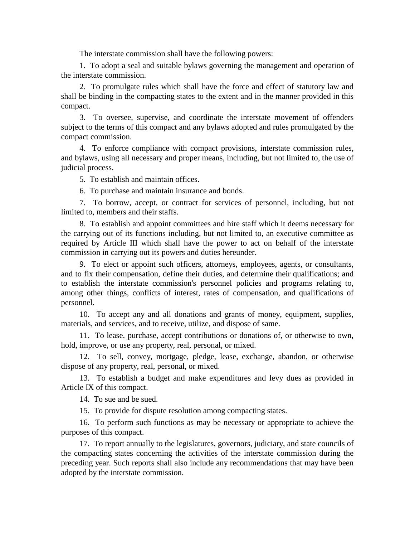The interstate commission shall have the following powers:

1. To adopt a seal and suitable bylaws governing the management and operation of the interstate commission.

2. To promulgate rules which shall have the force and effect of statutory law and shall be binding in the compacting states to the extent and in the manner provided in this compact.

3. To oversee, supervise, and coordinate the interstate movement of offenders subject to the terms of this compact and any bylaws adopted and rules promulgated by the compact commission.

4. To enforce compliance with compact provisions, interstate commission rules, and bylaws, using all necessary and proper means, including, but not limited to, the use of judicial process.

5. To establish and maintain offices.

6. To purchase and maintain insurance and bonds.

7. To borrow, accept, or contract for services of personnel, including, but not limited to, members and their staffs.

8. To establish and appoint committees and hire staff which it deems necessary for the carrying out of its functions including, but not limited to, an executive committee as required by Article III which shall have the power to act on behalf of the interstate commission in carrying out its powers and duties hereunder.

9. To elect or appoint such officers, attorneys, employees, agents, or consultants, and to fix their compensation, define their duties, and determine their qualifications; and to establish the interstate commission's personnel policies and programs relating to, among other things, conflicts of interest, rates of compensation, and qualifications of personnel.

10. To accept any and all donations and grants of money, equipment, supplies, materials, and services, and to receive, utilize, and dispose of same.

11. To lease, purchase, accept contributions or donations of, or otherwise to own, hold, improve, or use any property, real, personal, or mixed.

12. To sell, convey, mortgage, pledge, lease, exchange, abandon, or otherwise dispose of any property, real, personal, or mixed.

13. To establish a budget and make expenditures and levy dues as provided in Article IX of this compact.

14. To sue and be sued.

15. To provide for dispute resolution among compacting states.

16. To perform such functions as may be necessary or appropriate to achieve the purposes of this compact.

17. To report annually to the legislatures, governors, judiciary, and state councils of the compacting states concerning the activities of the interstate commission during the preceding year. Such reports shall also include any recommendations that may have been adopted by the interstate commission.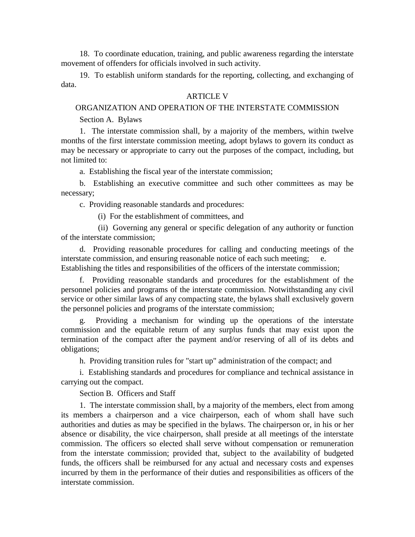18. To coordinate education, training, and public awareness regarding the interstate movement of offenders for officials involved in such activity.

19. To establish uniform standards for the reporting, collecting, and exchanging of data.

### ARTICLE V

### ORGANIZATION AND OPERATION OF THE INTERSTATE COMMISSION

Section A. Bylaws

1. The interstate commission shall, by a majority of the members, within twelve months of the first interstate commission meeting, adopt bylaws to govern its conduct as may be necessary or appropriate to carry out the purposes of the compact, including, but not limited to:

a. Establishing the fiscal year of the interstate commission;

b. Establishing an executive committee and such other committees as may be necessary;

c. Providing reasonable standards and procedures:

(i) For the establishment of committees, and

(ii) Governing any general or specific delegation of any authority or function of the interstate commission;

d. Providing reasonable procedures for calling and conducting meetings of the interstate commission, and ensuring reasonable notice of each such meeting; e.

Establishing the titles and responsibilities of the officers of the interstate commission;

f. Providing reasonable standards and procedures for the establishment of the personnel policies and programs of the interstate commission. Notwithstanding any civil service or other similar laws of any compacting state, the bylaws shall exclusively govern the personnel policies and programs of the interstate commission;

g. Providing a mechanism for winding up the operations of the interstate commission and the equitable return of any surplus funds that may exist upon the termination of the compact after the payment and/or reserving of all of its debts and obligations;

h. Providing transition rules for "start up" administration of the compact; and

i. Establishing standards and procedures for compliance and technical assistance in carrying out the compact.

Section B. Officers and Staff

1. The interstate commission shall, by a majority of the members, elect from among its members a chairperson and a vice chairperson, each of whom shall have such authorities and duties as may be specified in the bylaws. The chairperson or, in his or her absence or disability, the vice chairperson, shall preside at all meetings of the interstate commission. The officers so elected shall serve without compensation or remuneration from the interstate commission; provided that, subject to the availability of budgeted funds, the officers shall be reimbursed for any actual and necessary costs and expenses incurred by them in the performance of their duties and responsibilities as officers of the interstate commission.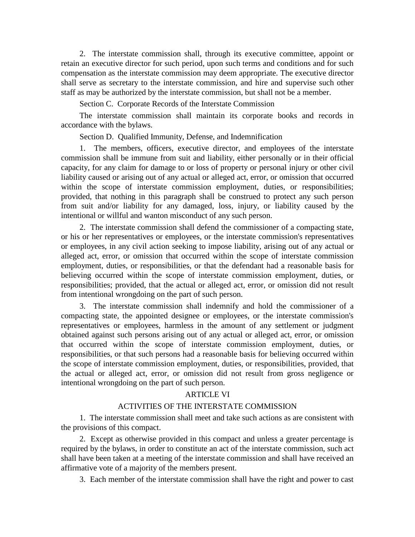2. The interstate commission shall, through its executive committee, appoint or retain an executive director for such period, upon such terms and conditions and for such compensation as the interstate commission may deem appropriate. The executive director shall serve as secretary to the interstate commission, and hire and supervise such other staff as may be authorized by the interstate commission, but shall not be a member.

Section C. Corporate Records of the Interstate Commission

The interstate commission shall maintain its corporate books and records in accordance with the bylaws.

Section D. Qualified Immunity, Defense, and Indemnification

1. The members, officers, executive director, and employees of the interstate commission shall be immune from suit and liability, either personally or in their official capacity, for any claim for damage to or loss of property or personal injury or other civil liability caused or arising out of any actual or alleged act, error, or omission that occurred within the scope of interstate commission employment, duties, or responsibilities; provided, that nothing in this paragraph shall be construed to protect any such person from suit and/or liability for any damaged, loss, injury, or liability caused by the intentional or willful and wanton misconduct of any such person.

2. The interstate commission shall defend the commissioner of a compacting state, or his or her representatives or employees, or the interstate commission's representatives or employees, in any civil action seeking to impose liability, arising out of any actual or alleged act, error, or omission that occurred within the scope of interstate commission employment, duties, or responsibilities, or that the defendant had a reasonable basis for believing occurred within the scope of interstate commission employment, duties, or responsibilities; provided, that the actual or alleged act, error, or omission did not result from intentional wrongdoing on the part of such person.

3. The interstate commission shall indemnify and hold the commissioner of a compacting state, the appointed designee or employees, or the interstate commission's representatives or employees, harmless in the amount of any settlement or judgment obtained against such persons arising out of any actual or alleged act, error, or omission that occurred within the scope of interstate commission employment, duties, or responsibilities, or that such persons had a reasonable basis for believing occurred within the scope of interstate commission employment, duties, or responsibilities, provided, that the actual or alleged act, error, or omission did not result from gross negligence or intentional wrongdoing on the part of such person.

### ARTICLE VI

### ACTIVITIES OF THE INTERSTATE COMMISSION

1. The interstate commission shall meet and take such actions as are consistent with the provisions of this compact.

2. Except as otherwise provided in this compact and unless a greater percentage is required by the bylaws, in order to constitute an act of the interstate commission, such act shall have been taken at a meeting of the interstate commission and shall have received an affirmative vote of a majority of the members present.

3. Each member of the interstate commission shall have the right and power to cast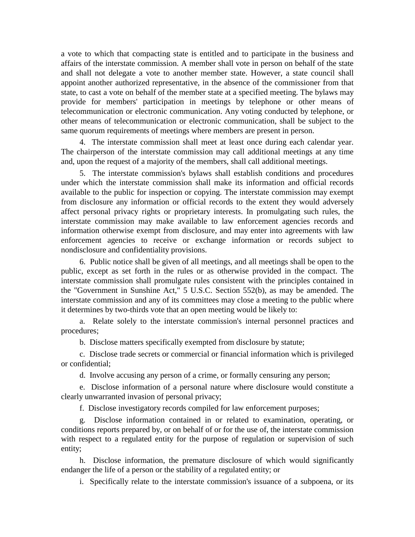a vote to which that compacting state is entitled and to participate in the business and affairs of the interstate commission. A member shall vote in person on behalf of the state and shall not delegate a vote to another member state. However, a state council shall appoint another authorized representative, in the absence of the commissioner from that state, to cast a vote on behalf of the member state at a specified meeting. The bylaws may provide for members' participation in meetings by telephone or other means of telecommunication or electronic communication. Any voting conducted by telephone, or other means of telecommunication or electronic communication, shall be subject to the same quorum requirements of meetings where members are present in person.

4. The interstate commission shall meet at least once during each calendar year. The chairperson of the interstate commission may call additional meetings at any time and, upon the request of a majority of the members, shall call additional meetings.

5. The interstate commission's bylaws shall establish conditions and procedures under which the interstate commission shall make its information and official records available to the public for inspection or copying. The interstate commission may exempt from disclosure any information or official records to the extent they would adversely affect personal privacy rights or proprietary interests. In promulgating such rules, the interstate commission may make available to law enforcement agencies records and information otherwise exempt from disclosure, and may enter into agreements with law enforcement agencies to receive or exchange information or records subject to nondisclosure and confidentiality provisions.

6. Public notice shall be given of all meetings, and all meetings shall be open to the public, except as set forth in the rules or as otherwise provided in the compact. The interstate commission shall promulgate rules consistent with the principles contained in the "Government in Sunshine Act," 5 U.S.C. Section 552(b), as may be amended. The interstate commission and any of its committees may close a meeting to the public where it determines by two-thirds vote that an open meeting would be likely to:

a. Relate solely to the interstate commission's internal personnel practices and procedures;

b. Disclose matters specifically exempted from disclosure by statute;

c. Disclose trade secrets or commercial or financial information which is privileged or confidential;

d. Involve accusing any person of a crime, or formally censuring any person;

e. Disclose information of a personal nature where disclosure would constitute a clearly unwarranted invasion of personal privacy;

f. Disclose investigatory records compiled for law enforcement purposes;

g. Disclose information contained in or related to examination, operating, or conditions reports prepared by, or on behalf of or for the use of, the interstate commission with respect to a regulated entity for the purpose of regulation or supervision of such entity;

h. Disclose information, the premature disclosure of which would significantly endanger the life of a person or the stability of a regulated entity; or

i. Specifically relate to the interstate commission's issuance of a subpoena, or its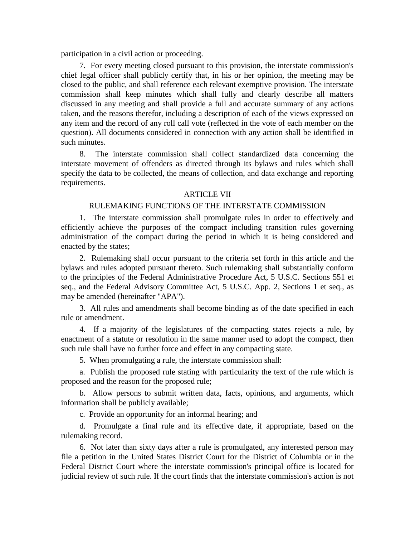participation in a civil action or proceeding.

7. For every meeting closed pursuant to this provision, the interstate commission's chief legal officer shall publicly certify that, in his or her opinion, the meeting may be closed to the public, and shall reference each relevant exemptive provision. The interstate commission shall keep minutes which shall fully and clearly describe all matters discussed in any meeting and shall provide a full and accurate summary of any actions taken, and the reasons therefor, including a description of each of the views expressed on any item and the record of any roll call vote (reflected in the vote of each member on the question). All documents considered in connection with any action shall be identified in such minutes.

8. The interstate commission shall collect standardized data concerning the interstate movement of offenders as directed through its bylaws and rules which shall specify the data to be collected, the means of collection, and data exchange and reporting requirements.

# ARTICLE VII

# RULEMAKING FUNCTIONS OF THE INTERSTATE COMMISSION

1. The interstate commission shall promulgate rules in order to effectively and efficiently achieve the purposes of the compact including transition rules governing administration of the compact during the period in which it is being considered and enacted by the states;

2. Rulemaking shall occur pursuant to the criteria set forth in this article and the bylaws and rules adopted pursuant thereto. Such rulemaking shall substantially conform to the principles of the Federal Administrative Procedure Act, 5 U.S.C. Sections 551 et seq., and the Federal Advisory Committee Act, 5 U.S.C. App. 2, Sections 1 et seq., as may be amended (hereinafter "APA").

3. All rules and amendments shall become binding as of the date specified in each rule or amendment.

4. If a majority of the legislatures of the compacting states rejects a rule, by enactment of a statute or resolution in the same manner used to adopt the compact, then such rule shall have no further force and effect in any compacting state.

5. When promulgating a rule, the interstate commission shall:

a. Publish the proposed rule stating with particularity the text of the rule which is proposed and the reason for the proposed rule;

b. Allow persons to submit written data, facts, opinions, and arguments, which information shall be publicly available;

c. Provide an opportunity for an informal hearing; and

d. Promulgate a final rule and its effective date, if appropriate, based on the rulemaking record.

6. Not later than sixty days after a rule is promulgated, any interested person may file a petition in the United States District Court for the District of Columbia or in the Federal District Court where the interstate commission's principal office is located for judicial review of such rule. If the court finds that the interstate commission's action is not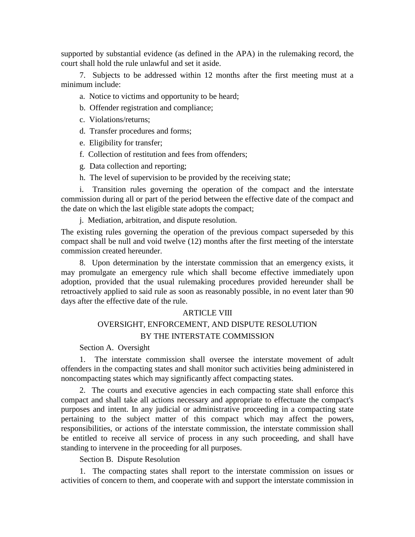supported by substantial evidence (as defined in the APA) in the rulemaking record, the court shall hold the rule unlawful and set it aside.

7. Subjects to be addressed within 12 months after the first meeting must at a minimum include:

- a. Notice to victims and opportunity to be heard;
- b. Offender registration and compliance;
- c. Violations/returns;
- d. Transfer procedures and forms;
- e. Eligibility for transfer;
- f. Collection of restitution and fees from offenders;
- g. Data collection and reporting;
- h. The level of supervision to be provided by the receiving state;

i. Transition rules governing the operation of the compact and the interstate commission during all or part of the period between the effective date of the compact and the date on which the last eligible state adopts the compact;

j. Mediation, arbitration, and dispute resolution.

The existing rules governing the operation of the previous compact superseded by this compact shall be null and void twelve (12) months after the first meeting of the interstate commission created hereunder.

8. Upon determination by the interstate commission that an emergency exists, it may promulgate an emergency rule which shall become effective immediately upon adoption, provided that the usual rulemaking procedures provided hereunder shall be retroactively applied to said rule as soon as reasonably possible, in no event later than 90 days after the effective date of the rule.

# ARTICLE VIII

# OVERSIGHT, ENFORCEMENT, AND DISPUTE RESOLUTION BY THE INTERSTATE COMMISSION

Section A. Oversight

1. The interstate commission shall oversee the interstate movement of adult offenders in the compacting states and shall monitor such activities being administered in noncompacting states which may significantly affect compacting states.

2. The courts and executive agencies in each compacting state shall enforce this compact and shall take all actions necessary and appropriate to effectuate the compact's purposes and intent. In any judicial or administrative proceeding in a compacting state pertaining to the subject matter of this compact which may affect the powers, responsibilities, or actions of the interstate commission, the interstate commission shall be entitled to receive all service of process in any such proceeding, and shall have standing to intervene in the proceeding for all purposes.

Section B. Dispute Resolution

1. The compacting states shall report to the interstate commission on issues or activities of concern to them, and cooperate with and support the interstate commission in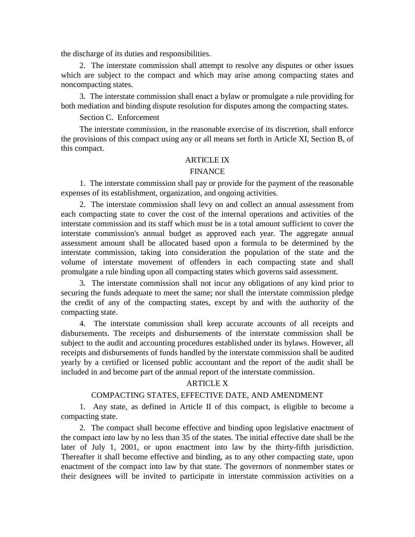the discharge of its duties and responsibilities.

2. The interstate commission shall attempt to resolve any disputes or other issues which are subject to the compact and which may arise among compacting states and noncompacting states.

3. The interstate commission shall enact a bylaw or promulgate a rule providing for both mediation and binding dispute resolution for disputes among the compacting states.

### Section C. Enforcement

The interstate commission, in the reasonable exercise of its discretion, shall enforce the provisions of this compact using any or all means set forth in Article XI, Section B, of this compact.

# ARTICLE IX

## FINANCE

1. The interstate commission shall pay or provide for the payment of the reasonable expenses of its establishment, organization, and ongoing activities.

2. The interstate commission shall levy on and collect an annual assessment from each compacting state to cover the cost of the internal operations and activities of the interstate commission and its staff which must be in a total amount sufficient to cover the interstate commission's annual budget as approved each year. The aggregate annual assessment amount shall be allocated based upon a formula to be determined by the interstate commission, taking into consideration the population of the state and the volume of interstate movement of offenders in each compacting state and shall promulgate a rule binding upon all compacting states which governs said assessment.

3. The interstate commission shall not incur any obligations of any kind prior to securing the funds adequate to meet the same; nor shall the interstate commission pledge the credit of any of the compacting states, except by and with the authority of the compacting state.

4. The interstate commission shall keep accurate accounts of all receipts and disbursements. The receipts and disbursements of the interstate commission shall be subject to the audit and accounting procedures established under its bylaws. However, all receipts and disbursements of funds handled by the interstate commission shall be audited yearly by a certified or licensed public accountant and the report of the audit shall be included in and become part of the annual report of the interstate commission.

# ARTICLE X

# COMPACTING STATES, EFFECTIVE DATE, AND AMENDMENT

1. Any state, as defined in Article II of this compact, is eligible to become a compacting state.

2. The compact shall become effective and binding upon legislative enactment of the compact into law by no less than 35 of the states. The initial effective date shall be the later of July 1, 2001, or upon enactment into law by the thirty-fifth jurisdiction. Thereafter it shall become effective and binding, as to any other compacting state, upon enactment of the compact into law by that state. The governors of nonmember states or their designees will be invited to participate in interstate commission activities on a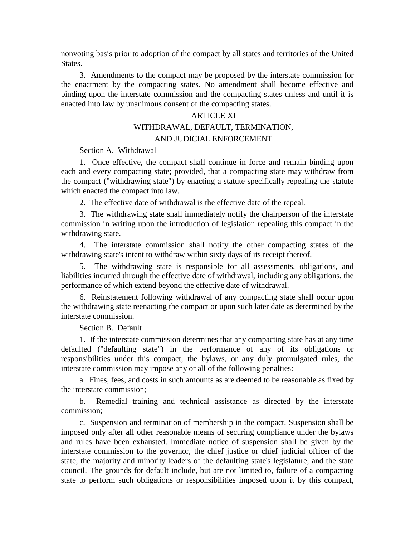nonvoting basis prior to adoption of the compact by all states and territories of the United States.

3. Amendments to the compact may be proposed by the interstate commission for the enactment by the compacting states. No amendment shall become effective and binding upon the interstate commission and the compacting states unless and until it is enacted into law by unanimous consent of the compacting states.

# ARTICLE XI

# WITHDRAWAL, DEFAULT, TERMINATION,

# AND JUDICIAL ENFORCEMENT

# Section A. Withdrawal

1. Once effective, the compact shall continue in force and remain binding upon each and every compacting state; provided, that a compacting state may withdraw from the compact ("withdrawing state") by enacting a statute specifically repealing the statute which enacted the compact into law.

2. The effective date of withdrawal is the effective date of the repeal.

3. The withdrawing state shall immediately notify the chairperson of the interstate commission in writing upon the introduction of legislation repealing this compact in the withdrawing state.

4. The interstate commission shall notify the other compacting states of the withdrawing state's intent to withdraw within sixty days of its receipt thereof.

5. The withdrawing state is responsible for all assessments, obligations, and liabilities incurred through the effective date of withdrawal, including any obligations, the performance of which extend beyond the effective date of withdrawal.

6. Reinstatement following withdrawal of any compacting state shall occur upon the withdrawing state reenacting the compact or upon such later date as determined by the interstate commission.

Section B. Default

1. If the interstate commission determines that any compacting state has at any time defaulted ("defaulting state") in the performance of any of its obligations or responsibilities under this compact, the bylaws, or any duly promulgated rules, the interstate commission may impose any or all of the following penalties:

a. Fines, fees, and costs in such amounts as are deemed to be reasonable as fixed by the interstate commission;

b. Remedial training and technical assistance as directed by the interstate commission;

c. Suspension and termination of membership in the compact. Suspension shall be imposed only after all other reasonable means of securing compliance under the bylaws and rules have been exhausted. Immediate notice of suspension shall be given by the interstate commission to the governor, the chief justice or chief judicial officer of the state, the majority and minority leaders of the defaulting state's legislature, and the state council. The grounds for default include, but are not limited to, failure of a compacting state to perform such obligations or responsibilities imposed upon it by this compact,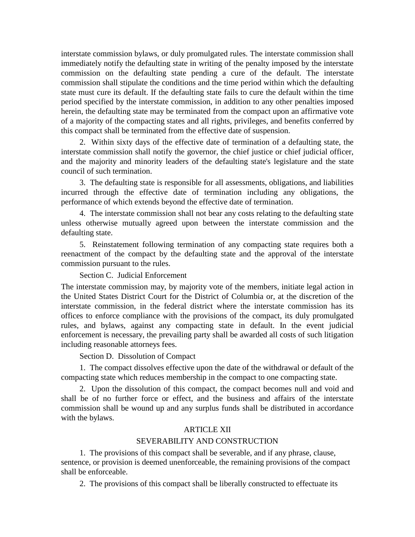interstate commission bylaws, or duly promulgated rules. The interstate commission shall immediately notify the defaulting state in writing of the penalty imposed by the interstate commission on the defaulting state pending a cure of the default. The interstate commission shall stipulate the conditions and the time period within which the defaulting state must cure its default. If the defaulting state fails to cure the default within the time period specified by the interstate commission, in addition to any other penalties imposed herein, the defaulting state may be terminated from the compact upon an affirmative vote of a majority of the compacting states and all rights, privileges, and benefits conferred by this compact shall be terminated from the effective date of suspension.

2. Within sixty days of the effective date of termination of a defaulting state, the interstate commission shall notify the governor, the chief justice or chief judicial officer, and the majority and minority leaders of the defaulting state's legislature and the state council of such termination.

3. The defaulting state is responsible for all assessments, obligations, and liabilities incurred through the effective date of termination including any obligations, the performance of which extends beyond the effective date of termination.

4. The interstate commission shall not bear any costs relating to the defaulting state unless otherwise mutually agreed upon between the interstate commission and the defaulting state.

5. Reinstatement following termination of any compacting state requires both a reenactment of the compact by the defaulting state and the approval of the interstate commission pursuant to the rules.

Section C. Judicial Enforcement

The interstate commission may, by majority vote of the members, initiate legal action in the United States District Court for the District of Columbia or, at the discretion of the interstate commission, in the federal district where the interstate commission has its offices to enforce compliance with the provisions of the compact, its duly promulgated rules, and bylaws, against any compacting state in default. In the event judicial enforcement is necessary, the prevailing party shall be awarded all costs of such litigation including reasonable attorneys fees.

Section D. Dissolution of Compact

1. The compact dissolves effective upon the date of the withdrawal or default of the compacting state which reduces membership in the compact to one compacting state.

2. Upon the dissolution of this compact, the compact becomes null and void and shall be of no further force or effect, and the business and affairs of the interstate commission shall be wound up and any surplus funds shall be distributed in accordance with the bylaws.

# ARTICLE XII

# SEVERABILITY AND CONSTRUCTION

1. The provisions of this compact shall be severable, and if any phrase, clause, sentence, or provision is deemed unenforceable, the remaining provisions of the compact shall be enforceable.

2. The provisions of this compact shall be liberally constructed to effectuate its